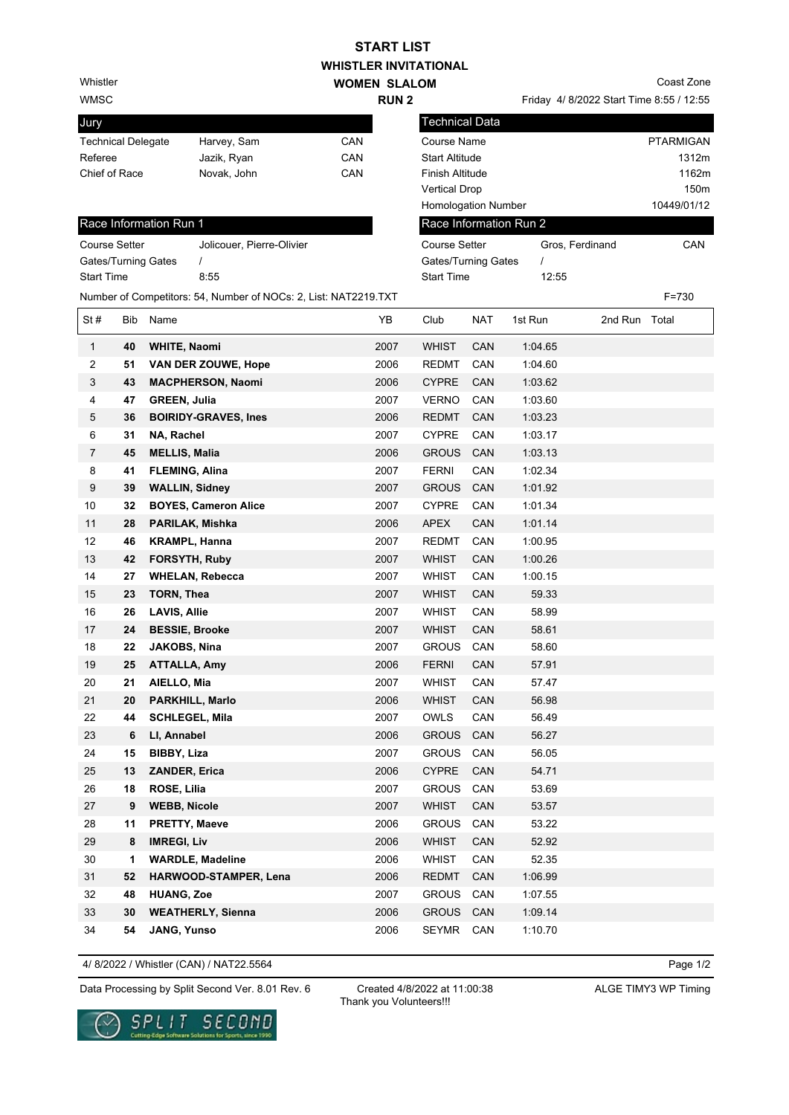## **WHISTLER INVITATIONAL WOMEN SLALOM START LIST**

**RUN 2** 

Whistler

WMSC

| Jury                      |             |     |
|---------------------------|-------------|-----|
| <b>Technical Delegate</b> | Harvey, Sam | CAN |
| Referee                   | Jazik, Ryan | CAN |
| Chief of Race             | Novak, John | CAN |
|                           |             |     |

## Friday 4/ 8/2022 Start Time 8:55 / 12:55 Coast Zone

|                                                 |                      |                        |                                                                 |                       | 11 J J 4         |                       |            |                        | $\frac{1}{2}$ or $\frac{1}{2}$ order the state $\frac{1}{2}$ |             |
|-------------------------------------------------|----------------------|------------------------|-----------------------------------------------------------------|-----------------------|------------------|-----------------------|------------|------------------------|--------------------------------------------------------------|-------------|
| Jury                                            |                      |                        |                                                                 |                       |                  | <b>Technical Data</b> |            |                        |                                                              |             |
| Harvey, Sam<br>CAN<br><b>Technical Delegate</b> |                      |                        |                                                                 | Course Name           | <b>PTARMIGAN</b> |                       |            |                        |                                                              |             |
| CAN<br>Referee<br>Jazik, Ryan                   |                      |                        |                                                                 | <b>Start Altitude</b> |                  |                       |            | 1312m                  |                                                              |             |
| CAN<br>Chief of Race<br>Novak, John             |                      |                        |                                                                 |                       | Finish Altitude  |                       |            |                        | 1162m                                                        |             |
|                                                 |                      |                        |                                                                 |                       |                  | <b>Vertical Drop</b>  |            |                        |                                                              | 150m        |
|                                                 |                      |                        |                                                                 |                       |                  | Homologation Number   |            |                        |                                                              | 10449/01/12 |
|                                                 |                      | Race Information Run 1 |                                                                 |                       |                  |                       |            | Race Information Run 2 |                                                              |             |
|                                                 | <b>Course Setter</b> |                        | Jolicouer, Pierre-Olivier                                       |                       |                  | <b>Course Setter</b>  |            | Gros, Ferdinand        |                                                              | CAN         |
|                                                 |                      | Gates/Turning Gates    | $\prime$                                                        |                       |                  | Gates/Turning Gates   |            | $\prime$               |                                                              |             |
| <b>Start Time</b>                               |                      |                        | 8:55                                                            |                       |                  | <b>Start Time</b>     |            | 12:55                  |                                                              |             |
|                                                 |                      |                        | Number of Competitors: 54, Number of NOCs: 2, List: NAT2219.TXT |                       |                  |                       |            |                        |                                                              | F=730       |
| St#                                             | Bib                  | Name                   |                                                                 |                       | YB               | Club                  | <b>NAT</b> | 1st Run                | 2nd Run Total                                                |             |
| $\mathbf{1}$                                    | 40                   | <b>WHITE, Naomi</b>    |                                                                 |                       | 2007             | <b>WHIST</b>          | <b>CAN</b> | 1:04.65                |                                                              |             |
| 2                                               | 51                   |                        | <b>VAN DER ZOUWE, Hope</b>                                      |                       | 2006             | REDMT                 | CAN        | 1:04.60                |                                                              |             |
| 3                                               | 43                   |                        | <b>MACPHERSON, Naomi</b>                                        |                       | 2006             | <b>CYPRE</b>          | CAN        | 1:03.62                |                                                              |             |
| 4                                               | 47                   | <b>GREEN, Julia</b>    |                                                                 |                       | 2007             | <b>VERNO</b>          | CAN        | 1:03.60                |                                                              |             |
| 5                                               | 36                   |                        | <b>BOIRIDY-GRAVES, Ines</b>                                     |                       | 2006             | <b>REDMT</b>          | CAN        | 1:03.23                |                                                              |             |
| 6                                               | 31                   | NA, Rachel             |                                                                 |                       | 2007             | <b>CYPRE</b>          | CAN        | 1:03.17                |                                                              |             |
| 7                                               | 45                   | <b>MELLIS, Malia</b>   |                                                                 |                       | 2006             | <b>GROUS</b>          | CAN        | 1:03.13                |                                                              |             |
| 8                                               | 41                   | <b>FLEMING, Alina</b>  |                                                                 |                       | 2007             | <b>FERNI</b>          | CAN        | 1:02.34                |                                                              |             |
| 9                                               | 39                   | <b>WALLIN, Sidney</b>  |                                                                 |                       | 2007             | <b>GROUS</b>          | CAN        | 1:01.92                |                                                              |             |
| 10                                              | 32                   |                        | <b>BOYES, Cameron Alice</b>                                     |                       | 2007             | <b>CYPRE</b>          | CAN        | 1:01.34                |                                                              |             |
| 11                                              | 28                   |                        | PARILAK, Mishka                                                 |                       | 2006             | <b>APEX</b>           | CAN        | 1:01.14                |                                                              |             |
| 12                                              | 46                   | <b>KRAMPL, Hanna</b>   |                                                                 |                       | 2007             | REDMT                 | CAN        | 1:00.95                |                                                              |             |
| 13                                              | 42                   | <b>FORSYTH, Ruby</b>   |                                                                 |                       | 2007             | <b>WHIST</b>          | CAN        | 1:00.26                |                                                              |             |
| 14                                              | 27                   |                        | <b>WHELAN, Rebecca</b>                                          |                       | 2007             | <b>WHIST</b>          | CAN        | 1:00.15                |                                                              |             |
| 15                                              | 23                   | TORN, Thea             |                                                                 |                       | 2007             | <b>WHIST</b>          | CAN        | 59.33                  |                                                              |             |
| 16                                              | 26                   | <b>LAVIS, Allie</b>    |                                                                 |                       | 2007             | <b>WHIST</b>          | CAN        | 58.99                  |                                                              |             |
| 17                                              | 24                   | <b>BESSIE, Brooke</b>  |                                                                 |                       | 2007             | <b>WHIST</b>          | CAN        | 58.61                  |                                                              |             |
| 18                                              | 22                   | JAKOBS, Nina           |                                                                 |                       | 2007             | <b>GROUS</b>          | CAN        | 58.60                  |                                                              |             |
| 19                                              | 25                   | <b>ATTALLA, Amy</b>    |                                                                 |                       | 2006             | <b>FERNI</b>          | <b>CAN</b> | 57.91                  |                                                              |             |
| 20                                              | 21                   | AIELLO, Mia            |                                                                 |                       | 2007             | <b>WHIST</b>          | CAN        | 57.47                  |                                                              |             |
| 21                                              | 20                   |                        | <b>PARKHILL, Marlo</b>                                          |                       | 2006             | WHIST                 | CAN        | 56.98                  |                                                              |             |
| 22                                              | 44                   |                        | <b>SCHLEGEL, Mila</b>                                           |                       | 2007             | OWLS                  | CAN        | 56.49                  |                                                              |             |
| 23                                              | 6                    | LI, Annabel            |                                                                 |                       | 2006             | <b>GROUS</b>          | CAN        | 56.27                  |                                                              |             |
| 24                                              | 15                   | <b>BIBBY, Liza</b>     |                                                                 |                       | 2007             | <b>GROUS</b>          | CAN        | 56.05                  |                                                              |             |
| 25                                              | 13                   | <b>ZANDER, Erica</b>   |                                                                 |                       | 2006             | <b>CYPRE</b>          | CAN        | 54.71                  |                                                              |             |
| 26                                              | 18                   | ROSE, Lilia            |                                                                 |                       | 2007             | <b>GROUS</b>          | CAN        | 53.69                  |                                                              |             |
| 27                                              | 9                    | <b>WEBB, Nicole</b>    |                                                                 |                       | 2007             | WHIST                 | CAN        | 53.57                  |                                                              |             |
| 28                                              | 11                   | PRETTY, Maeve          |                                                                 |                       | 2006             | GROUS                 | CAN        | 53.22                  |                                                              |             |
| 29                                              | 8                    | <b>IMREGI, Liv</b>     |                                                                 |                       | 2006             | <b>WHIST</b>          | CAN        | 52.92                  |                                                              |             |
| 30                                              | 1                    |                        | <b>WARDLE, Madeline</b>                                         |                       | 2006             | WHIST                 | CAN        | 52.35                  |                                                              |             |
| 31                                              | 52                   |                        | HARWOOD-STAMPER, Lena                                           |                       | 2006             | REDMT                 | CAN        | 1:06.99                |                                                              |             |
| 32                                              | 48                   | <b>HUANG, Zoe</b>      |                                                                 |                       | 2007             | <b>GROUS</b>          | CAN        | 1:07.55                |                                                              |             |
| 33                                              | 30                   |                        | <b>WEATHERLY, Sienna</b>                                        |                       | 2006             | <b>GROUS</b>          | CAN        | 1:09.14                |                                                              |             |
| 34                                              | 54                   | JANG, Yunso            |                                                                 |                       | 2006             | SEYMR                 | CAN        | 1:10.70                |                                                              |             |
|                                                 |                      |                        |                                                                 |                       |                  |                       |            |                        |                                                              |             |

4/ 8/2022 / Whistler (CAN) / NAT22.5564

Page 1/2

Data Processing by Split Second Ver. 8.01 Rev. 6 Created 4/8/2022 at 11:00:38 ALGE TIMY3 WP Timing



Created 4/8/2022 at 11:00:38 Thank you Volunteers!!!